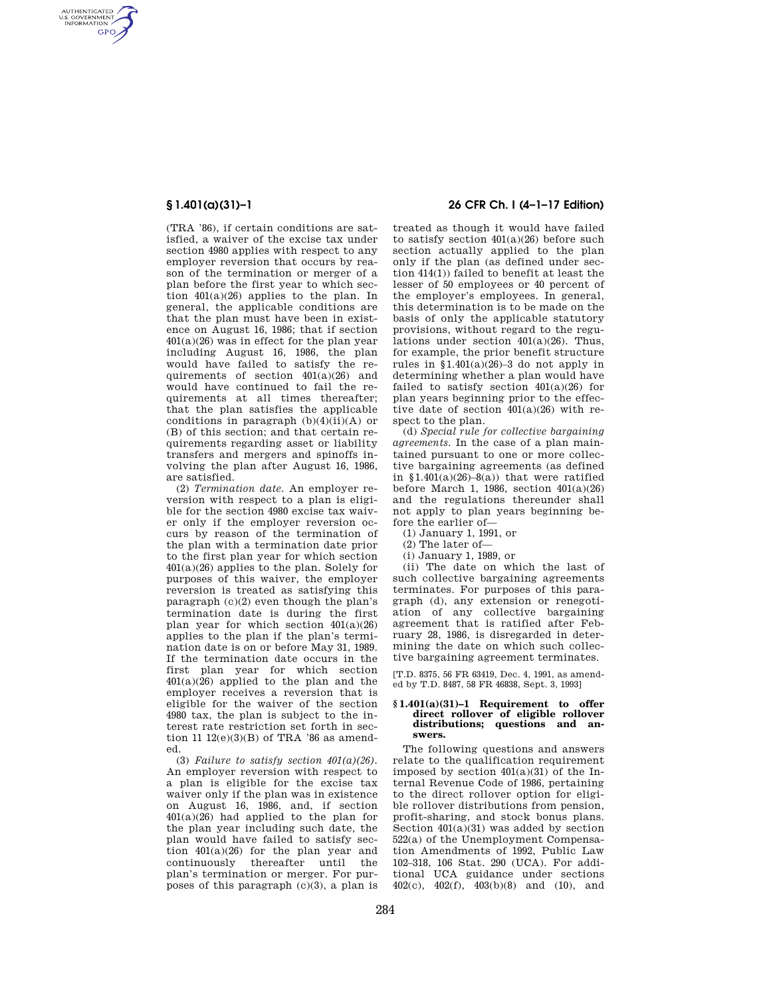AUTHENTICATED<br>U.S. GOVERNMENT<br>INFORMATION **GPO** 

> (TRA '86), if certain conditions are satisfied, a waiver of the excise tax under section 4980 applies with respect to any employer reversion that occurs by reason of the termination or merger of a plan before the first year to which section 401(a)(26) applies to the plan. In general, the applicable conditions are that the plan must have been in existence on August 16, 1986; that if section 401(a)(26) was in effect for the plan year including August 16, 1986, the plan would have failed to satisfy the requirements of section 401(a)(26) and would have continued to fail the requirements at all times thereafter; that the plan satisfies the applicable conditions in paragraph  $(b)(4)(ii)(A)$  or (B) of this section; and that certain requirements regarding asset or liability transfers and mergers and spinoffs involving the plan after August 16, 1986, are satisfied.

> (2) *Termination date.* An employer reversion with respect to a plan is eligible for the section 4980 excise tax waiver only if the employer reversion occurs by reason of the termination of the plan with a termination date prior to the first plan year for which section 401(a)(26) applies to the plan. Solely for purposes of this waiver, the employer reversion is treated as satisfying this paragraph (c)(2) even though the plan's termination date is during the first plan year for which section 401(a)(26) applies to the plan if the plan's termination date is on or before May 31, 1989. If the termination date occurs in the first plan year for which section  $401(a)(26)$  applied to the plan and the employer receives a reversion that is eligible for the waiver of the section 4980 tax, the plan is subject to the interest rate restriction set forth in section 11  $12(e)(3)(B)$  of TRA '86 as amended.

> (3) *Failure to satisfy section*  $401(a)(26)$ *.* An employer reversion with respect to a plan is eligible for the excise tax waiver only if the plan was in existence on August 16, 1986, and, if section 401(a)(26) had applied to the plan for the plan year including such date, the plan would have failed to satisfy section  $401(a)(26)$  for the plan year and continuously thereafter until the plan's termination or merger. For purposes of this paragraph (c)(3), a plan is

# **§ 1.401(a)(31)–1 26 CFR Ch. I (4–1–17 Edition)**

treated as though it would have failed to satisfy section  $401(a)(26)$  before such section actually applied to the plan only if the plan (as defined under section 414(1)) failed to benefit at least the lesser of 50 employees or 40 percent of the employer's employees. In general, this determination is to be made on the basis of only the applicable statutory provisions, without regard to the regulations under section  $401(a)(26)$ . Thus, for example, the prior benefit structure rules in  $$1.401(a)(26)-3$  do not apply in determining whether a plan would have failed to satisfy section  $401(a)(26)$  for plan years beginning prior to the effective date of section  $401(a)(26)$  with respect to the plan.

(d) *Special rule for collective bargaining agreements.* In the case of a plan maintained pursuant to one or more collective bargaining agreements (as defined in  $$1.401(a)(26)-8(a))$  that were ratified before March 1, 1986, section  $401(a)(26)$ and the regulations thereunder shall not apply to plan years beginning before the earlier of—

(1) January 1, 1991, or

- (2) The later of—
- (i) January 1, 1989, or

(ii) The date on which the last of such collective bargaining agreements terminates. For purposes of this paragraph (d), any extension or renegotiation of any collective bargaining agreement that is ratified after February 28, 1986, is disregarded in determining the date on which such collective bargaining agreement terminates.

[T.D. 8375, 56 FR 63419, Dec. 4, 1991, as amended by T.D. 8487, 58 FR 46838, Sept. 3, 1993]

### **§ 1.401(a)(31)–1 Requirement to offer**  direct rollover of eligible rollover **distributions; questions and answers.**

The following questions and answers relate to the qualification requirement imposed by section 401(a)(31) of the Internal Revenue Code of 1986, pertaining to the direct rollover option for eligible rollover distributions from pension, profit-sharing, and stock bonus plans. Section 401(a)(31) was added by section 522(a) of the Unemployment Compensation Amendments of 1992, Public Law 102–318, 106 Stat. 290 (UCA). For additional UCA guidance under sections 402(c),  $402(f)$ ,  $403(b)(8)$  and (10), and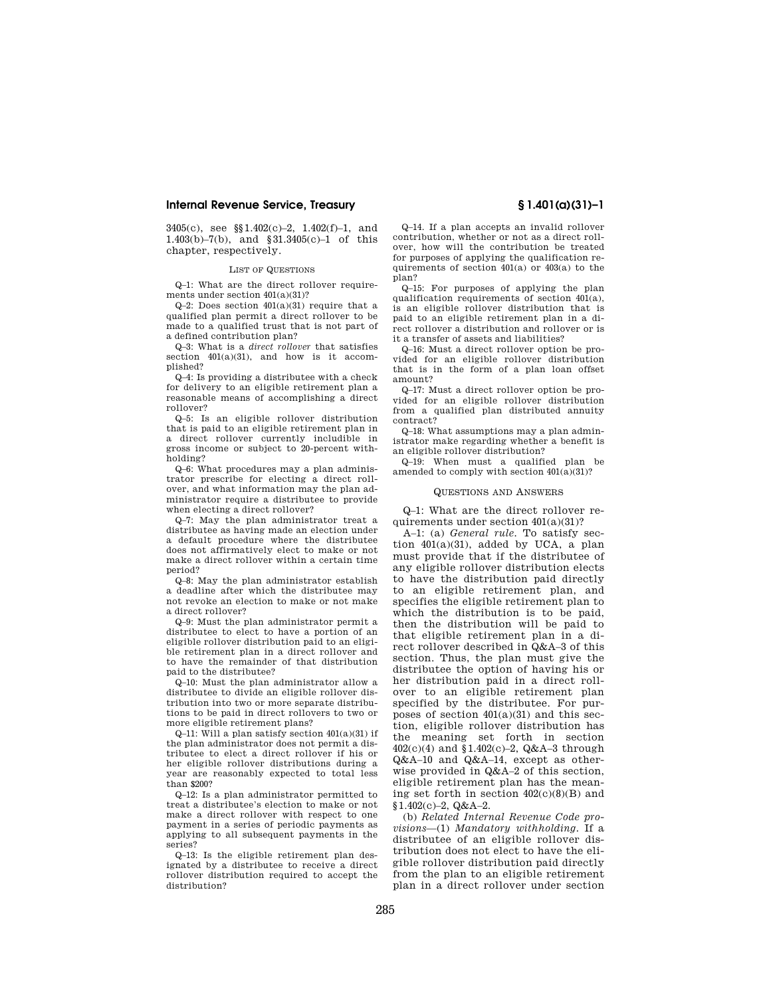3405(c), see §§1.402(c)–2, 1.402(f)–1, and 1.403(b)–7(b), and §31.3405(c)–1 of this chapter, respectively.

### LIST OF QUESTIONS

Q–1: What are the direct rollover requirements under section 401(a)(31)?

Q–2: Does section 401(a)(31) require that a qualified plan permit a direct rollover to be made to a qualified trust that is not part of a defined contribution plan?

Q–3: What is a *direct rollover* that satisfies section  $401(a)(31)$ , and how is it accomplished?

Q–4: Is providing a distributee with a check for delivery to an eligible retirement plan a reasonable means of accomplishing a direct rollover?

Q–5: Is an eligible rollover distribution that is paid to an eligible retirement plan in a direct rollover currently includible in gross income or subject to 20-percent withholding?

Q–6: What procedures may a plan administrator prescribe for electing a direct rollover, and what information may the plan administrator require a distributee to provide when electing a direct rollover?

Q–7: May the plan administrator treat a distributee as having made an election under a default procedure where the distributee does not affirmatively elect to make or not make a direct rollover within a certain time period?

Q–8: May the plan administrator establish a deadline after which the distributee may not revoke an election to make or not make a direct rollover?

Q–9: Must the plan administrator permit a distributee to elect to have a portion of an eligible rollover distribution paid to an eligible retirement plan in a direct rollover and to have the remainder of that distribution paid to the distributee?

Q–10: Must the plan administrator allow a distributee to divide an eligible rollover distribution into two or more separate distributions to be paid in direct rollovers to two or more eligible retirement plans?

Q–11: Will a plan satisfy section 401(a)(31) if the plan administrator does not permit a distributee to elect a direct rollover if his or her eligible rollover distributions during a year are reasonably expected to total less than \$200?

Q–12: Is a plan administrator permitted to treat a distributee's election to make or not make a direct rollover with respect to one payment in a series of periodic payments as applying to all subsequent payments in the series?

Q–13: Is the eligible retirement plan designated by a distributee to receive a direct rollover distribution required to accept the distribution?

Q–14. If a plan accepts an invalid rollover contribution, whether or not as a direct rollover, how will the contribution be treated for purposes of applying the qualification requirements of section 401(a) or 403(a) to the

plan? Q–15: For purposes of applying the plan qualification requirements of section 401(a), is an eligible rollover distribution that is paid to an eligible retirement plan in a direct rollover a distribution and rollover or is it a transfer of assets and liabilities?

Q–16: Must a direct rollover option be provided for an eligible rollover distribution that is in the form of a plan loan offset amount?

Q–17: Must a direct rollover option be provided for an eligible rollover distribution from a qualified plan distributed annuity contract?

Q–18: What assumptions may a plan administrator make regarding whether a benefit is an eligible rollover distribution?

Q–19: When must a qualified plan be amended to comply with section 401(a)(31)?

### QUESTIONS AND ANSWERS

Q–1: What are the direct rollover requirements under section 401(a)(31)?

A–1: (a) *General rule.* To satisfy section 401(a)(31), added by UCA, a plan must provide that if the distributee of any eligible rollover distribution elects to have the distribution paid directly to an eligible retirement plan, and specifies the eligible retirement plan to which the distribution is to be paid, then the distribution will be paid to that eligible retirement plan in a direct rollover described in Q&A–3 of this section. Thus, the plan must give the distributee the option of having his or her distribution paid in a direct rollover to an eligible retirement plan specified by the distributee. For purposes of section  $401(a)(31)$  and this section, eligible rollover distribution has the meaning set forth in section 402(c)(4) and §1.402(c)–2, Q&A–3 through Q&A–10 and Q&A–14, except as otherwise provided in Q&A–2 of this section, eligible retirement plan has the meaning set forth in section  $402(c)(8)(B)$  and  $$1.402(c)-2, Q&A-2.$ 

(b) *Related Internal Revenue Code provisions*—(1) *Mandatory withholding.* If a distributee of an eligible rollover distribution does not elect to have the eligible rollover distribution paid directly from the plan to an eligible retirement plan in a direct rollover under section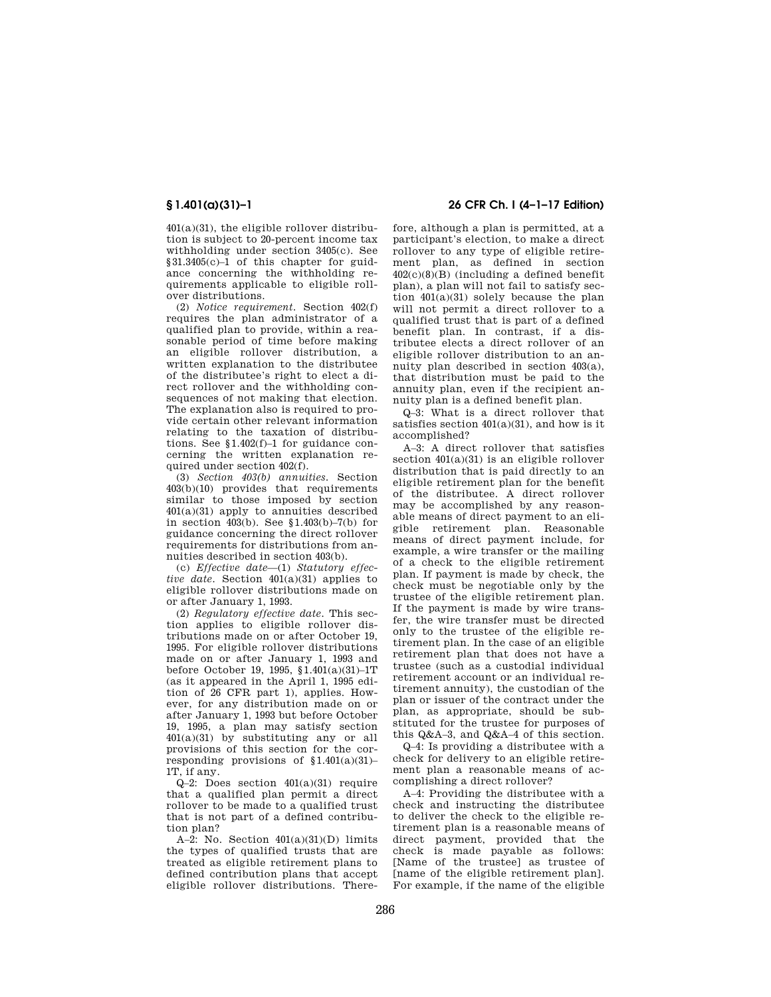401(a)(31), the eligible rollover distribution is subject to 20-percent income tax withholding under section 3405(c). See §31.3405(c)–1 of this chapter for guidance concerning the withholding requirements applicable to eligible rollover distributions.

(2) *Notice requirement.* Section 402(f) requires the plan administrator of a qualified plan to provide, within a reasonable period of time before making an eligible rollover distribution, a written explanation to the distributee of the distributee's right to elect a direct rollover and the withholding consequences of not making that election. The explanation also is required to provide certain other relevant information relating to the taxation of distributions. See §1.402(f)–1 for guidance concerning the written explanation required under section 402(f).

(3) *Section 403(b) annuities.* Section 403(b)(10) provides that requirements similar to those imposed by section 401(a)(31) apply to annuities described in section 403(b). See §1.403(b)–7(b) for guidance concerning the direct rollover requirements for distributions from annuities described in section 403(b).

(c) *Effective date*—(1) *Statutory effective date.* Section 401(a)(31) applies to eligible rollover distributions made on or after January 1, 1993.

(2) *Regulatory effective date.* This section applies to eligible rollover distributions made on or after October 19, 1995. For eligible rollover distributions made on or after January 1, 1993 and before October 19, 1995, §1.401(a)(31)–1T (as it appeared in the April 1, 1995 edition of 26 CFR part 1), applies. However, for any distribution made on or after January 1, 1993 but before October 19, 1995, a plan may satisfy section 401(a)(31) by substituting any or all provisions of this section for the corresponding provisions of  $$1.401(a)(31)$ -1T, if any.

Q–2: Does section 401(a)(31) require that a qualified plan permit a direct rollover to be made to a qualified trust that is not part of a defined contribution plan?

A–2: No. Section  $401(a)(31)(D)$  limits the types of qualified trusts that are treated as eligible retirement plans to defined contribution plans that accept eligible rollover distributions. There-

# **§ 1.401(a)(31)–1 26 CFR Ch. I (4–1–17 Edition)**

fore, although a plan is permitted, at a participant's election, to make a direct rollover to any type of eligible retirement plan, as defined in section 402(c)(8)(B) (including a defined benefit plan), a plan will not fail to satisfy section 401(a)(31) solely because the plan will not permit a direct rollover to a qualified trust that is part of a defined benefit plan. In contrast, if a distributee elects a direct rollover of an eligible rollover distribution to an annuity plan described in section 403(a), that distribution must be paid to the annuity plan, even if the recipient annuity plan is a defined benefit plan.

Q–3: What is a direct rollover that satisfies section  $401(a)(31)$ , and how is it accomplished?

A–3: A direct rollover that satisfies section  $401(a)(31)$  is an eligible rollover distribution that is paid directly to an eligible retirement plan for the benefit of the distributee. A direct rollover may be accomplished by any reasonable means of direct payment to an eligible retirement plan. Reasonable means of direct payment include, for example, a wire transfer or the mailing of a check to the eligible retirement plan. If payment is made by check, the check must be negotiable only by the trustee of the eligible retirement plan. If the payment is made by wire transfer, the wire transfer must be directed only to the trustee of the eligible retirement plan. In the case of an eligible retirement plan that does not have a trustee (such as a custodial individual retirement account or an individual retirement annuity), the custodian of the plan or issuer of the contract under the plan, as appropriate, should be substituted for the trustee for purposes of this Q&A–3, and Q&A–4 of this section.

Q–4: Is providing a distributee with a check for delivery to an eligible retirement plan a reasonable means of accomplishing a direct rollover?

A–4: Providing the distributee with a check and instructing the distributee to deliver the check to the eligible retirement plan is a reasonable means of direct payment, provided that the check is made payable as follows: [Name of the trustee] as trustee of [name of the eligible retirement plan]. For example, if the name of the eligible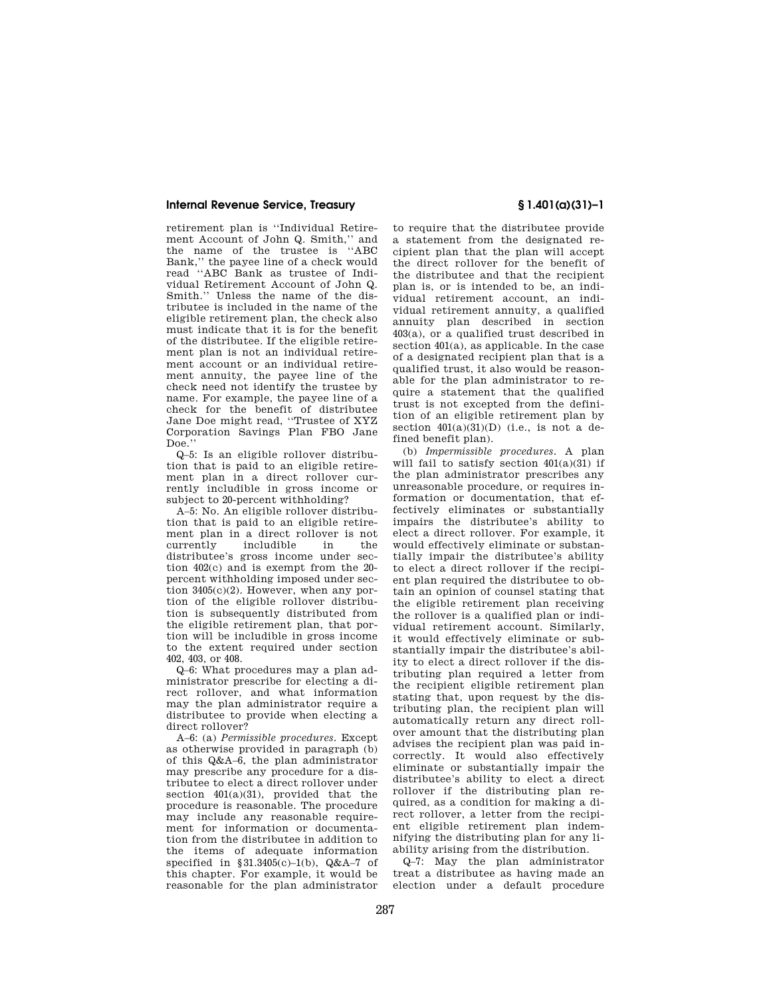retirement plan is ''Individual Retirement Account of John Q. Smith,'' and the name of the trustee is ''ABC Bank,'' the payee line of a check would read ''ABC Bank as trustee of Individual Retirement Account of John Q. Smith.'' Unless the name of the distributee is included in the name of the eligible retirement plan, the check also must indicate that it is for the benefit of the distributee. If the eligible retirement plan is not an individual retirement account or an individual retirement annuity, the payee line of the check need not identify the trustee by name. For example, the payee line of a check for the benefit of distributee Jane Doe might read, ''Trustee of XYZ Corporation Savings Plan FBO Jane Doe.''

Q–5: Is an eligible rollover distribution that is paid to an eligible retirement plan in a direct rollover currently includible in gross income or subject to 20-percent withholding?

A–5: No. An eligible rollover distribution that is paid to an eligible retirement plan in a direct rollover is not<br>currently includible in the includible distributee's gross income under section 402(c) and is exempt from the 20 percent withholding imposed under section 3405(c)(2). However, when any portion of the eligible rollover distribution is subsequently distributed from the eligible retirement plan, that portion will be includible in gross income to the extent required under section 402, 403, or 408.

Q–6: What procedures may a plan administrator prescribe for electing a direct rollover, and what information may the plan administrator require a distributee to provide when electing a direct rollover?

A–6: (a) *Permissible procedures.* Except as otherwise provided in paragraph (b) of this Q&A–6, the plan administrator may prescribe any procedure for a distributee to elect a direct rollover under section  $401(a)(31)$ , provided that the procedure is reasonable. The procedure may include any reasonable requirement for information or documentation from the distributee in addition to the items of adequate information specified in  $§31.3405(c)-1(b)$ , Q&A-7 of this chapter. For example, it would be reasonable for the plan administrator

to require that the distributee provide a statement from the designated recipient plan that the plan will accept the direct rollover for the benefit of the distributee and that the recipient plan is, or is intended to be, an individual retirement account, an individual retirement annuity, a qualified annuity plan described in section 403(a), or a qualified trust described in section 401(a), as applicable. In the case of a designated recipient plan that is a qualified trust, it also would be reasonable for the plan administrator to require a statement that the qualified trust is not excepted from the definition of an eligible retirement plan by section  $401(a)(31)(D)$  (i.e., is not a defined benefit plan).

(b) *Impermissible procedures.* A plan will fail to satisfy section  $401(a)(31)$  if the plan administrator prescribes any unreasonable procedure, or requires information or documentation, that effectively eliminates or substantially impairs the distributee's ability to elect a direct rollover. For example, it would effectively eliminate or substantially impair the distributee's ability to elect a direct rollover if the recipient plan required the distributee to obtain an opinion of counsel stating that the eligible retirement plan receiving the rollover is a qualified plan or individual retirement account. Similarly, it would effectively eliminate or substantially impair the distributee's ability to elect a direct rollover if the distributing plan required a letter from the recipient eligible retirement plan stating that, upon request by the distributing plan, the recipient plan will automatically return any direct rollover amount that the distributing plan advises the recipient plan was paid incorrectly. It would also effectively eliminate or substantially impair the distributee's ability to elect a direct rollover if the distributing plan required, as a condition for making a direct rollover, a letter from the recipient eligible retirement plan indemnifying the distributing plan for any liability arising from the distribution.

Q–7: May the plan administrator treat a distributee as having made an election under a default procedure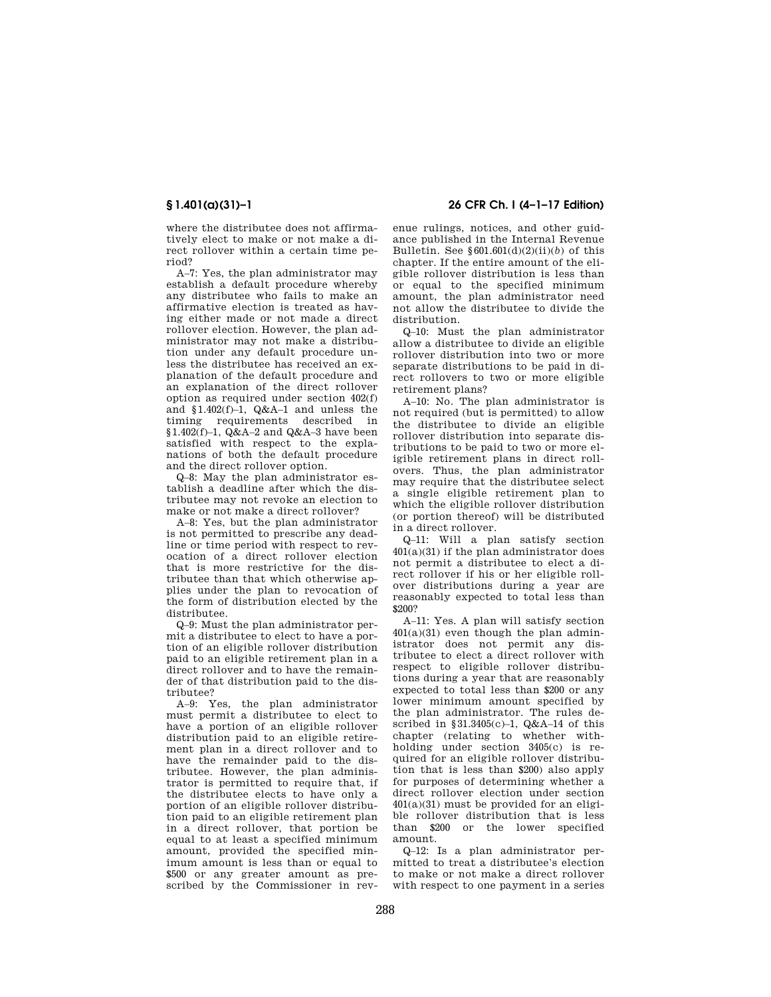where the distributee does not affirmatively elect to make or not make a direct rollover within a certain time period?

A–7: Yes, the plan administrator may establish a default procedure whereby any distributee who fails to make an affirmative election is treated as having either made or not made a direct rollover election. However, the plan administrator may not make a distribution under any default procedure unless the distributee has received an explanation of the default procedure and an explanation of the direct rollover option as required under section 402(f) and §1.402(f)–1, Q&A–1 and unless the timing requirements described in §1.402(f)–1, Q&A–2 and Q&A–3 have been satisfied with respect to the explanations of both the default procedure and the direct rollover option.

Q–8: May the plan administrator establish a deadline after which the distributee may not revoke an election to make or not make a direct rollover?

A–8: Yes, but the plan administrator is not permitted to prescribe any deadline or time period with respect to revocation of a direct rollover election that is more restrictive for the distributee than that which otherwise applies under the plan to revocation of the form of distribution elected by the distributee.

Q–9: Must the plan administrator permit a distributee to elect to have a portion of an eligible rollover distribution paid to an eligible retirement plan in a direct rollover and to have the remainder of that distribution paid to the distributee?

A–9: Yes, the plan administrator must permit a distributee to elect to have a portion of an eligible rollover distribution paid to an eligible retirement plan in a direct rollover and to have the remainder paid to the distributee. However, the plan administrator is permitted to require that, if the distributee elects to have only a portion of an eligible rollover distribution paid to an eligible retirement plan in a direct rollover, that portion be equal to at least a specified minimum amount, provided the specified minimum amount is less than or equal to \$500 or any greater amount as prescribed by the Commissioner in rev-

# **§ 1.401(a)(31)–1 26 CFR Ch. I (4–1–17 Edition)**

enue rulings, notices, and other guidance published in the Internal Revenue Bulletin. See  $§ 601.601(d)(2)(ii)(b)$  of this chapter. If the entire amount of the eligible rollover distribution is less than or equal to the specified minimum amount, the plan administrator need not allow the distributee to divide the distribution.

Q–10: Must the plan administrator allow a distributee to divide an eligible rollover distribution into two or more separate distributions to be paid in direct rollovers to two or more eligible retirement plans?

A–10: No. The plan administrator is not required (but is permitted) to allow the distributee to divide an eligible rollover distribution into separate distributions to be paid to two or more eligible retirement plans in direct rollovers. Thus, the plan administrator may require that the distributee select a single eligible retirement plan to which the eligible rollover distribution (or portion thereof) will be distributed in a direct rollover.

Q–11: Will a plan satisfy section  $401(a)(31)$  if the plan administrator does not permit a distributee to elect a direct rollover if his or her eligible rollover distributions during a year are reasonably expected to total less than \$200?

A–11: Yes. A plan will satisfy section  $401(a)(31)$  even though the plan administrator does not permit any distributee to elect a direct rollover with respect to eligible rollover distributions during a year that are reasonably expected to total less than \$200 or any lower minimum amount specified by the plan administrator. The rules described in  $§31.3405(c)-1$ ,  $Q&A-14$  of this chapter (relating to whether withholding under section 3405(c) is required for an eligible rollover distribution that is less than \$200) also apply for purposes of determining whether a direct rollover election under section 401(a)(31) must be provided for an eligible rollover distribution that is less than \$200 or the lower specified amount.

Q–12: Is a plan administrator permitted to treat a distributee's election to make or not make a direct rollover with respect to one payment in a series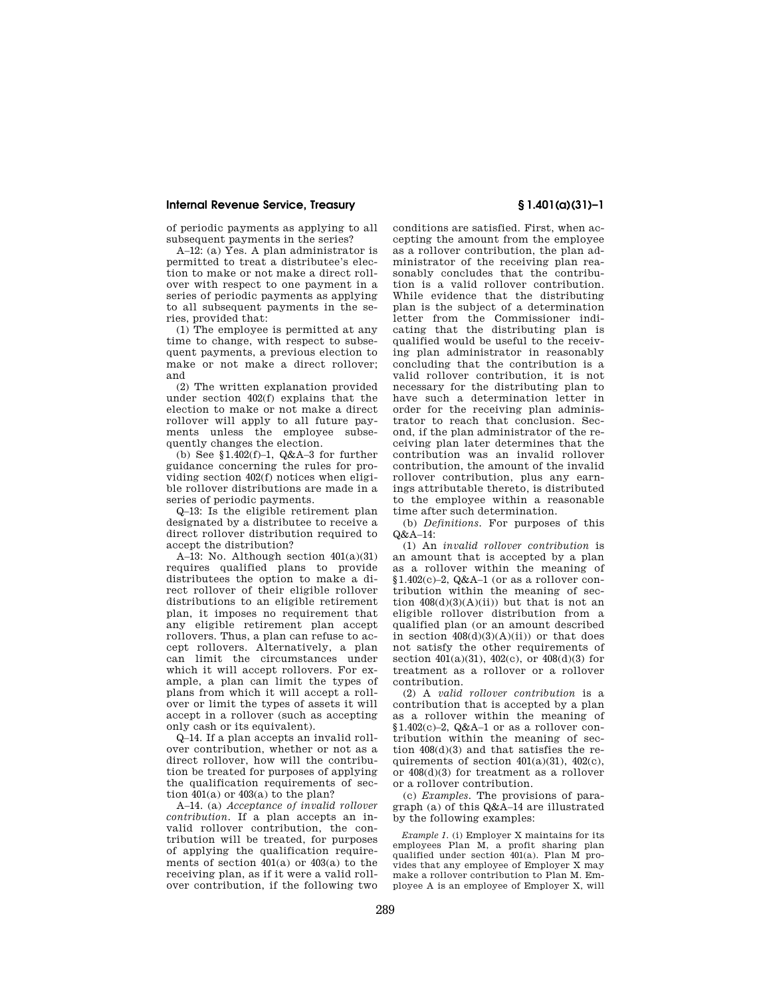of periodic payments as applying to all subsequent payments in the series?

A–12: (a) Yes. A plan administrator is permitted to treat a distributee's election to make or not make a direct rollover with respect to one payment in a series of periodic payments as applying to all subsequent payments in the series, provided that:

(1) The employee is permitted at any time to change, with respect to subsequent payments, a previous election to make or not make a direct rollover; and

(2) The written explanation provided under section 402(f) explains that the election to make or not make a direct rollover will apply to all future payments unless the employee subsequently changes the election.

(b) See  $$1.402(f)-1$ ,  $Q&A-3$  for further guidance concerning the rules for providing section 402(f) notices when eligible rollover distributions are made in a series of periodic payments.

Q–13: Is the eligible retirement plan designated by a distributee to receive a direct rollover distribution required to accept the distribution?

A–13: No. Although section  $401(a)(31)$ requires qualified plans to provide distributees the option to make a direct rollover of their eligible rollover distributions to an eligible retirement plan, it imposes no requirement that any eligible retirement plan accept rollovers. Thus, a plan can refuse to accept rollovers. Alternatively, a plan can limit the circumstances under which it will accept rollovers. For example, a plan can limit the types of plans from which it will accept a rollover or limit the types of assets it will accept in a rollover (such as accepting only cash or its equivalent).

Q–14. If a plan accepts an invalid rollover contribution, whether or not as a direct rollover, how will the contribution be treated for purposes of applying the qualification requirements of section  $401(a)$  or  $403(a)$  to the plan?

A–14. (a) *Acceptance of invalid rollover contribution.* If a plan accepts an invalid rollover contribution, the contribution will be treated, for purposes of applying the qualification requirements of section 401(a) or 403(a) to the receiving plan, as if it were a valid rollover contribution, if the following two

conditions are satisfied. First, when accepting the amount from the employee as a rollover contribution, the plan administrator of the receiving plan reasonably concludes that the contribution is a valid rollover contribution. While evidence that the distributing plan is the subject of a determination letter from the Commissioner indicating that the distributing plan is qualified would be useful to the receiving plan administrator in reasonably concluding that the contribution is a valid rollover contribution, it is not necessary for the distributing plan to have such a determination letter in order for the receiving plan administrator to reach that conclusion. Second, if the plan administrator of the receiving plan later determines that the contribution was an invalid rollover contribution, the amount of the invalid rollover contribution, plus any earnings attributable thereto, is distributed to the employee within a reasonable time after such determination.

(b) *Definitions.* For purposes of this Q&A–14:

(1) An *invalid rollover contribution* is an amount that is accepted by a plan as a rollover within the meaning of §1.402(c)–2, Q&A–1 (or as a rollover contribution within the meaning of section  $408(d)(3)(A)(ii)$  but that is not an eligible rollover distribution from a qualified plan (or an amount described in section  $408(d)(3)(A)(ii)$  or that does not satisfy the other requirements of section  $401(a)(31)$ ,  $402(c)$ , or  $408(d)(3)$  for treatment as a rollover or a rollover contribution.

(2) A *valid rollover contribution* is a contribution that is accepted by a plan as a rollover within the meaning of §1.402(c)–2, Q&A–1 or as a rollover contribution within the meaning of section 408(d)(3) and that satisfies the requirements of section  $401(a)(31)$ ,  $402(c)$ , or 408(d)(3) for treatment as a rollover or a rollover contribution.

(c) *Examples.* The provisions of paragraph (a) of this Q&A–14 are illustrated by the following examples:

*Example 1.* (i) Employer X maintains for its employees Plan M, a profit sharing plan qualified under section 401(a). Plan M provides that any employee of Employer X may make a rollover contribution to Plan M. Employee A is an employee of Employer X, will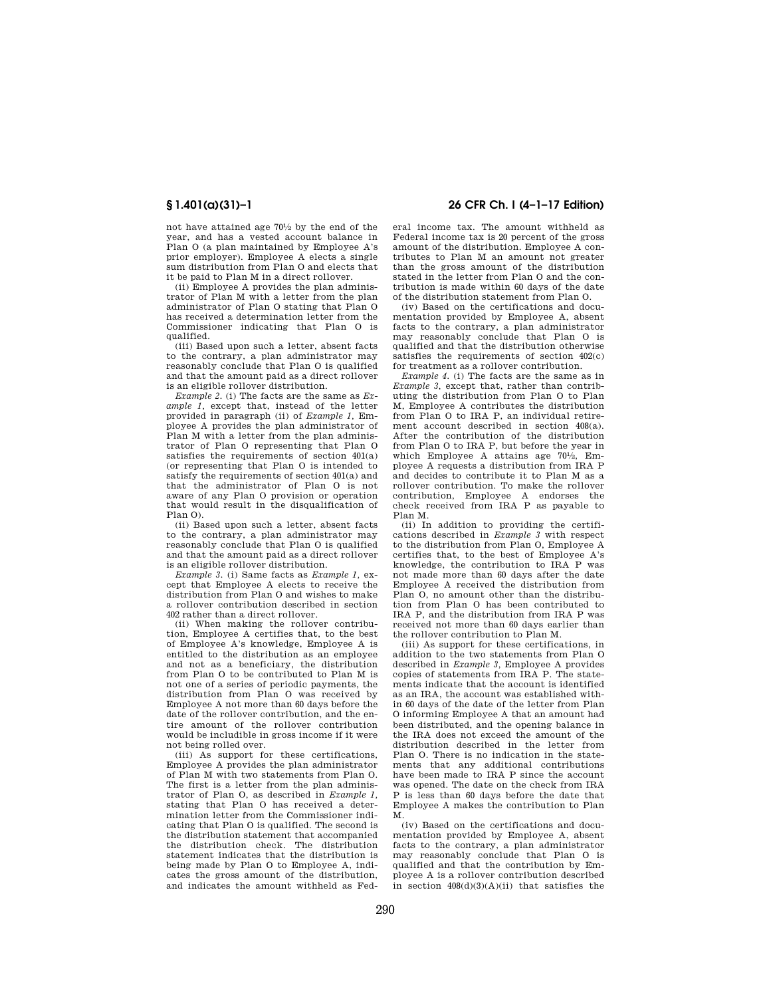not have attained age 701⁄2 by the end of the year, and has a vested account balance in Plan O (a plan maintained by Employee A's prior employer). Employee A elects a single sum distribution from Plan O and elects that it be paid to Plan M in a direct rollover.

(ii) Employee A provides the plan administrator of Plan M with a letter from the plan administrator of Plan O stating that Plan O has received a determination letter from the Commissioner indicating that Plan O is qualified.

(iii) Based upon such a letter, absent facts to the contrary, a plan administrator may reasonably conclude that Plan O is qualified and that the amount paid as a direct rollover is an eligible rollover distribution.

*Example 2.* (i) The facts are the same as *Example 1,* except that, instead of the letter provided in paragraph (ii) of *Example 1,* Employee A provides the plan administrator of Plan M with a letter from the plan administrator of Plan O representing that Plan O satisfies the requirements of section 401(a) (or representing that Plan O is intended to satisfy the requirements of section 401(a) and that the administrator of Plan O is not aware of any Plan O provision or operation that would result in the disqualification of Plan O).

(ii) Based upon such a letter, absent facts to the contrary, a plan administrator may reasonably conclude that Plan O is qualified and that the amount paid as a direct rollover is an eligible rollover distribution.

*Example 3.* (i) Same facts as *Example 1,* except that Employee A elects to receive the distribution from Plan O and wishes to make a rollover contribution described in section 402 rather than a direct rollover.

(ii) When making the rollover contribution, Employee A certifies that, to the best of Employee A's knowledge, Employee A is entitled to the distribution as an employee and not as a beneficiary, the distribution from Plan O to be contributed to Plan M is not one of a series of periodic payments, the distribution from Plan O was received by Employee A not more than 60 days before the date of the rollover contribution, and the entire amount of the rollover contribution would be includible in gross income if it were not being rolled over.

(iii) As support for these certifications, Employee A provides the plan administrator of Plan M with two statements from Plan O. The first is a letter from the plan administrator of Plan O, as described in *Example 1,*  stating that Plan O has received a determination letter from the Commissioner indicating that Plan O is qualified. The second is the distribution statement that accompanied the distribution check. The distribution statement indicates that the distribution is being made by Plan O to Employee A, indicates the gross amount of the distribution, and indicates the amount withheld as Fed-

# **§ 1.401(a)(31)–1 26 CFR Ch. I (4–1–17 Edition)**

eral income tax. The amount withheld as Federal income tax is 20 percent of the gross amount of the distribution. Employee A contributes to Plan M an amount not greater than the gross amount of the distribution stated in the letter from Plan O and the contribution is made within 60 days of the date of the distribution statement from Plan O.

(iv) Based on the certifications and documentation provided by Employee A, absent facts to the contrary, a plan administrator may reasonably conclude that Plan O is qualified and that the distribution otherwise satisfies the requirements of section 402(c) for treatment as a rollover contribution.

*Example 4.* (i) The facts are the same as in *Example 3,* except that, rather than contributing the distribution from Plan O to Plan M, Employee A contributes the distribution from Plan O to IRA P, an individual retirement account described in section 408(a). After the contribution of the distribution from Plan O to IRA P, but before the year in which Employee A attains age  $70\frac{1}{2}$ , Employee A requests a distribution from IRA P and decides to contribute it to Plan M as a rollover contribution. To make the rollover contribution, Employee A endorses the check received from IRA P as payable to Plan M.

(ii) In addition to providing the certifications described in *Example 3* with respect to the distribution from Plan O, Employee A certifies that, to the best of Employee A's knowledge, the contribution to IRA P was not made more than 60 days after the date Employee A received the distribution from Plan O, no amount other than the distribution from Plan O has been contributed to IRA P, and the distribution from IRA P was received not more than 60 days earlier than the rollover contribution to Plan M.

(iii) As support for these certifications, in addition to the two statements from Plan O described in *Example 3,* Employee A provides copies of statements from IRA P. The statements indicate that the account is identified as an IRA, the account was established within 60 days of the date of the letter from Plan O informing Employee A that an amount had been distributed, and the opening balance in the IRA does not exceed the amount of the distribution described in the letter from Plan O. There is no indication in the statements that any additional contributions have been made to IRA P since the account was opened. The date on the check from IRA P is less than 60 days before the date that Employee A makes the contribution to Plan M.

(iv) Based on the certifications and documentation provided by Employee A, absent facts to the contrary, a plan administrator may reasonably conclude that Plan O is qualified and that the contribution by Employee A is a rollover contribution described in section 408(d)(3)(A)(ii) that satisfies the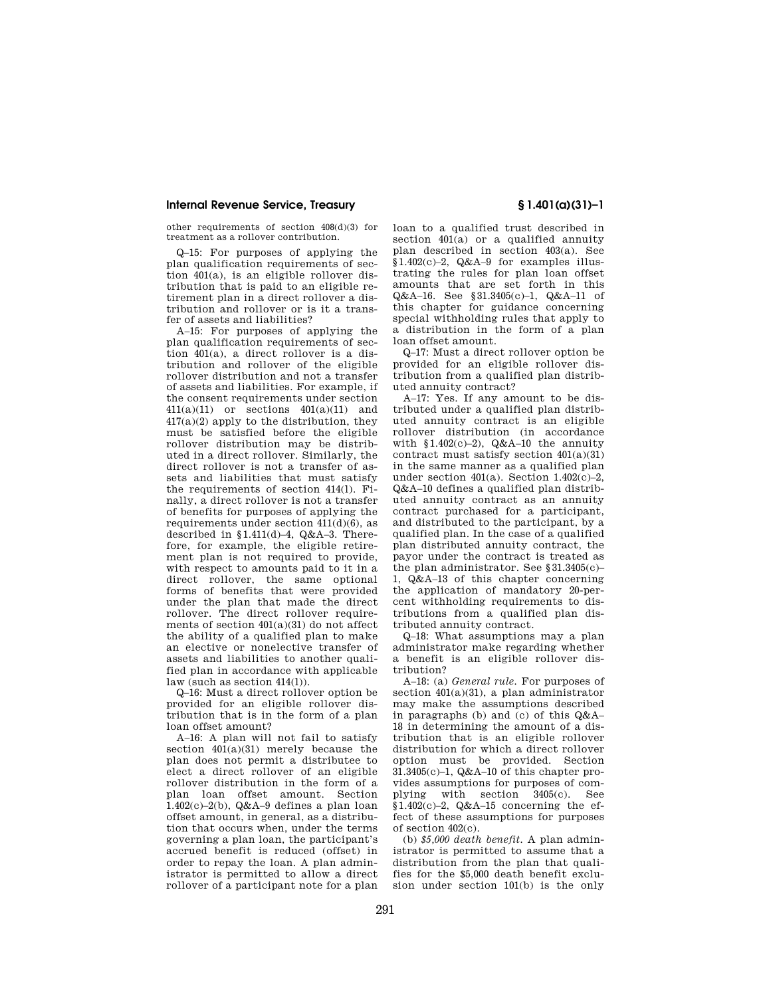other requirements of section 408(d)(3) for treatment as a rollover contribution.

Q–15: For purposes of applying the plan qualification requirements of section 401(a), is an eligible rollover distribution that is paid to an eligible retirement plan in a direct rollover a distribution and rollover or is it a transfer of assets and liabilities?

A–15: For purposes of applying the plan qualification requirements of section 401(a), a direct rollover is a distribution and rollover of the eligible rollover distribution and not a transfer of assets and liabilities. For example, if the consent requirements under section 411(a)(11) or sections 401(a)(11) and 417(a)(2) apply to the distribution, they must be satisfied before the eligible rollover distribution may be distributed in a direct rollover. Similarly, the direct rollover is not a transfer of assets and liabilities that must satisfy the requirements of section 414(l). Finally, a direct rollover is not a transfer of benefits for purposes of applying the requirements under section  $411(d)(6)$ , as described in §1.411(d)–4, Q&A–3. Therefore, for example, the eligible retirement plan is not required to provide, with respect to amounts paid to it in a direct rollover, the same optional forms of benefits that were provided under the plan that made the direct rollover. The direct rollover requirements of section 401(a)(31) do not affect the ability of a qualified plan to make an elective or nonelective transfer of assets and liabilities to another qualified plan in accordance with applicable law (such as section 414(l)).

Q–16: Must a direct rollover option be provided for an eligible rollover distribution that is in the form of a plan loan offset amount?

A–16: A plan will not fail to satisfy section  $401(a)(31)$  merely because the plan does not permit a distributee to elect a direct rollover of an eligible rollover distribution in the form of a plan loan offset amount. Section  $1.402(c)-2(b)$ , Q&A-9 defines a plan loan offset amount, in general, as a distribution that occurs when, under the terms governing a plan loan, the participant's accrued benefit is reduced (offset) in order to repay the loan. A plan administrator is permitted to allow a direct rollover of a participant note for a plan

loan to a qualified trust described in section  $401(a)$  or a qualified annuity plan described in section 403(a). See §1.402(c)–2, Q&A–9 for examples illustrating the rules for plan loan offset amounts that are set forth in this Q&A–16. See §31.3405(c)–1, Q&A–11 of this chapter for guidance concerning special withholding rules that apply to a distribution in the form of a plan loan offset amount.

Q–17: Must a direct rollover option be provided for an eligible rollover distribution from a qualified plan distributed annuity contract?

A–17: Yes. If any amount to be distributed under a qualified plan distributed annuity contract is an eligible rollover distribution (in accordance with  $$1.402(c)-2)$ ,  $Q&A-10$  the annuity contract must satisfy section 401(a)(31) in the same manner as a qualified plan under section  $401(a)$ . Section  $1.402(c)-2$ , Q&A–10 defines a qualified plan distributed annuity contract as an annuity contract purchased for a participant, and distributed to the participant, by a qualified plan. In the case of a qualified plan distributed annuity contract, the payor under the contract is treated as the plan administrator. See §31.3405(c)– 1, Q&A–13 of this chapter concerning the application of mandatory 20-percent withholding requirements to distributions from a qualified plan distributed annuity contract.

Q–18: What assumptions may a plan administrator make regarding whether a benefit is an eligible rollover distribution?

A–18: (a) *General rule.* For purposes of section 401(a)(31), a plan administrator may make the assumptions described in paragraphs (b) and (c) of this Q&A– 18 in determining the amount of a distribution that is an eligible rollover distribution for which a direct rollover option must be provided. Section 31.3405(c)–1, Q&A–10 of this chapter provides assumptions for purposes of complying with section 3405(c). See  $§1.402(c)-2, Q&A-15$  concerning the effect of these assumptions for purposes of section 402(c).

(b) *\$5,000 death benefit.* A plan administrator is permitted to assume that a distribution from the plan that qualifies for the \$5,000 death benefit exclusion under section 101(b) is the only